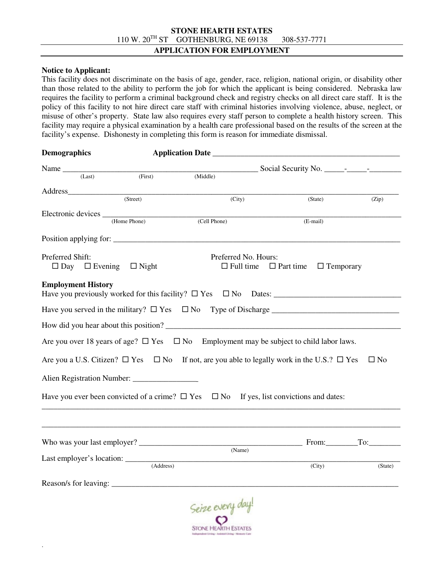## **STONE HEARTH ESTATES**  110 W. 20TH ST GOTHENBURG, NE 69138 308-537-7771

#### **APPLICATION FOR EMPLOYMENT**

### **Notice to Applicant:**

.

This facility does not discriminate on the basis of age, gender, race, religion, national origin, or disability other than those related to the ability to perform the job for which the applicant is being considered. Nebraska law requires the facility to perform a criminal background check and registry checks on all direct care staff. It is the policy of this facility to not hire direct care staff with criminal histories involving violence, abuse, neglect, or misuse of other's property. State law also requires every staff person to complete a health history screen. This facility may require a physical examination by a health care professional based on the results of the screen at the facility's expense. Dishonesty in completing this form is reason for immediate dismissal.

|           |                                                                                                     | (State)                                                               | (Zip)                                                                                                                                                                                                                                                                                                                                                                                                                                                                                         |
|-----------|-----------------------------------------------------------------------------------------------------|-----------------------------------------------------------------------|-----------------------------------------------------------------------------------------------------------------------------------------------------------------------------------------------------------------------------------------------------------------------------------------------------------------------------------------------------------------------------------------------------------------------------------------------------------------------------------------------|
|           |                                                                                                     |                                                                       |                                                                                                                                                                                                                                                                                                                                                                                                                                                                                               |
|           |                                                                                                     |                                                                       |                                                                                                                                                                                                                                                                                                                                                                                                                                                                                               |
|           |                                                                                                     |                                                                       |                                                                                                                                                                                                                                                                                                                                                                                                                                                                                               |
|           |                                                                                                     |                                                                       |                                                                                                                                                                                                                                                                                                                                                                                                                                                                                               |
|           |                                                                                                     | $\Box$ Part time                                                      |                                                                                                                                                                                                                                                                                                                                                                                                                                                                                               |
|           |                                                                                                     |                                                                       |                                                                                                                                                                                                                                                                                                                                                                                                                                                                                               |
|           |                                                                                                     |                                                                       |                                                                                                                                                                                                                                                                                                                                                                                                                                                                                               |
|           |                                                                                                     |                                                                       |                                                                                                                                                                                                                                                                                                                                                                                                                                                                                               |
|           |                                                                                                     |                                                                       |                                                                                                                                                                                                                                                                                                                                                                                                                                                                                               |
|           |                                                                                                     |                                                                       |                                                                                                                                                                                                                                                                                                                                                                                                                                                                                               |
|           |                                                                                                     |                                                                       | $\square$ No                                                                                                                                                                                                                                                                                                                                                                                                                                                                                  |
|           |                                                                                                     |                                                                       |                                                                                                                                                                                                                                                                                                                                                                                                                                                                                               |
|           |                                                                                                     |                                                                       |                                                                                                                                                                                                                                                                                                                                                                                                                                                                                               |
|           |                                                                                                     |                                                                       |                                                                                                                                                                                                                                                                                                                                                                                                                                                                                               |
|           |                                                                                                     |                                                                       |                                                                                                                                                                                                                                                                                                                                                                                                                                                                                               |
|           |                                                                                                     |                                                                       |                                                                                                                                                                                                                                                                                                                                                                                                                                                                                               |
|           | (Name)                                                                                              |                                                                       |                                                                                                                                                                                                                                                                                                                                                                                                                                                                                               |
| (Address) |                                                                                                     |                                                                       | (State)                                                                                                                                                                                                                                                                                                                                                                                                                                                                                       |
|           |                                                                                                     |                                                                       |                                                                                                                                                                                                                                                                                                                                                                                                                                                                                               |
|           |                                                                                                     |                                                                       |                                                                                                                                                                                                                                                                                                                                                                                                                                                                                               |
|           |                                                                                                     |                                                                       |                                                                                                                                                                                                                                                                                                                                                                                                                                                                                               |
|           | (First)<br>(Middle)<br>(Street)<br>(Home Phone)<br>$\Box$ Night<br>Last employer's location: ______ | <b>Application Date</b><br>(City)<br>(Cell Phone)<br>Coine every day! | (E-mail)<br>Position applying for:<br>Preferred No. Hours:<br>$\Box$ Full time<br>$\Box$ Temporary<br>How did you hear about this position?<br>Are you over 18 years of age? $\Box$ Yes $\Box$ No Employment may be subject to child labor laws.<br>Are you a U.S. Citizen? $\Box$ Yes $\Box$ No If not, are you able to legally work in the U.S.? $\Box$ Yes<br>Have you ever been convicted of a crime? $\Box$ Yes $\Box$ No If yes, list convictions and dates:<br>From: To: To:<br>(City) |